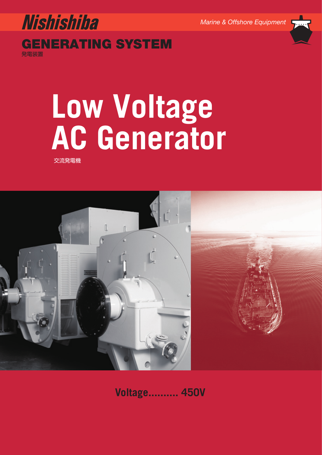

# **Nishishiba** *Marine & Offshore Equipment* **GENERATING SYSTEM**

発電装置

# **AC Generato** ーのコンティー<br>交流発電機<br>交流発電機

交流発電機



**Voltage.......... 450V**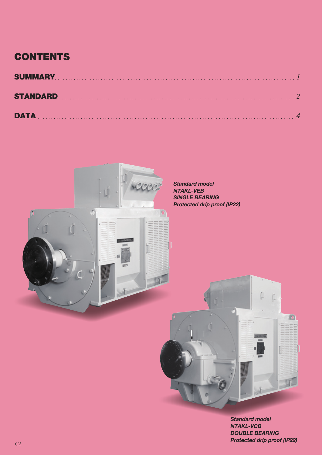# **CONTENTS**

| <b>DATA</b> |  |
|-------------|--|



*Standard model NTAKL-VCB DOUBLE BEARING Protected drip proof (IP22)*

 $\overline{\phantom{a}}$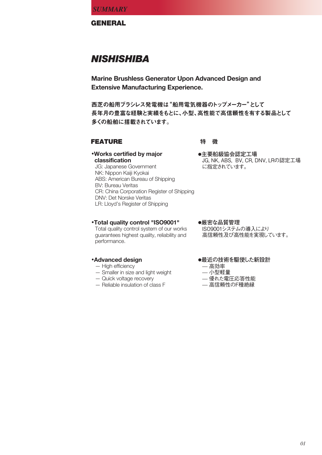**GENERAL**

# *NISHISHIBA*

**Marine Brushless Generator Upon Advanced Design and Extensive Manufacturing Experience.**

西芝の船用ブラシレス発電機は"船用電気機器のトップメーカー"として 長年月の豊富な経験と実績をもとに、小型、高性能で高信頼性を有する製品として 多くの船舶に搭載されています。

# **FEATURE 2.2 特 徴**

**●主要船級協会認定工場**

に指定されています。

**•Works certified by major classification** JG: Japanese Government NK: Nippon Kaiji Kyokai ABS: American Bureau of Shipping BV: Bureau Veritas

CR: China Corporation Register of Shipping DNV: Det Norske Veritas LR: Lloyd's Register of Shipping

#### **•Total quality control "ISO9001"** Total quality control system of our works

guarantees highest quality, reliability and performance.

# **•Advanced design**

- High efficiency
- Smaller in size and light weight
- Quick voltage recovery
- Reliable insulation of class F

**●厳密な品質管理** ISO9001システムの導入により 高信頼性及び高性能を実現しています。

JG, NK, ABS, BV, CR, DNV, LRの認定工場

# **●最近の技術を駆使した新設計**

- ̶ 高効率
- ̶ 小型軽量
- ̶ 優れた電圧応答性能
- ̶ 高信頼性のF種絶縁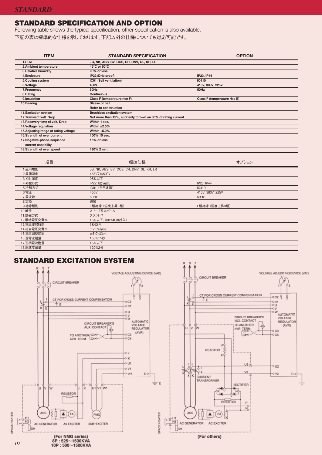# **STANDARD SPECIFICATION AND OPTION**

Following table shows the typical specification, other specification is also available.

下記の表は標準的な仕様を示しております。下記以外の仕様についても対応可能です。

| <b>ITEM</b>                          | <b>STANDARD SPECIFICATION</b>                                | <b>OPTION</b>                       |
|--------------------------------------|--------------------------------------------------------------|-------------------------------------|
| 1.Rule                               | JG, NK, ABS, BV, CCS, CR, DNV, GL, KR, LR                    |                                     |
| 2.Ambient temperature                | 45°C or 50°C                                                 |                                     |
| 3. Relative humidity                 | 95% or less                                                  |                                     |
| 4.Enclosure                          | IP22 (Drip proof)                                            | <b>IP23, IP44</b>                   |
| 5. Cooling system                    | IC01 (Self ventilation)                                      | <b>IC410</b>                        |
| 6.Voltage                            | 450V                                                         | 415V, 380V, 225V,                   |
| 7. Frequency                         | 60Hz                                                         | 50Hz                                |
| 8.Rating                             | <b>Continuous</b>                                            |                                     |
| 9.Insulation                         | Class F (temperature rise F)                                 | <b>Class F (temperature rise B)</b> |
| 10.Bearing                           | Sleeve or ball                                               |                                     |
|                                      | <b>Refer to construction</b>                                 |                                     |
| 11. Excitation system                | <b>Brushless excitation system</b>                           |                                     |
| 12. Transient volt. Drop             | Not more than 15%, suddenly thrown on 80% of rating current. |                                     |
| 13. Recovery time of volt. Drop      | Within 1 sec.                                                |                                     |
| 14. Voltage regulation               | Within $\pm 2.5\%$                                           |                                     |
| 15.Adjusting range of rating voltage | Within $±5.0\%$                                              |                                     |
| 16.Strength of over current          | 150% 15 sec.                                                 |                                     |
| 17. Negative-phase-sequence          | 15% or less                                                  |                                     |
| current capability                   |                                                              |                                     |
| 18.Strength of over speed            | 120% 2 min.                                                  |                                     |

| 項目         | 標準仕様                                      | オプション            |
|------------|-------------------------------------------|------------------|
| 1.適用規則     | JG, NK, ABS, BV, CCS, CR, DNV, GL, KR, LR |                  |
| 2.周囲温度     | 45℃又は50℃                                  |                  |
| 3.相対湿度     | 95%以下                                     |                  |
| 4.外被形式     | IP22 (防滴形)                                | IP23, IP44       |
| 5.冷却方式     | IC01 (自己通風)                               | <b>IC410</b>     |
| 6.電圧       | 450V                                      | 415V, 380V, 225V |
| 7.周波数      | 60Hz                                      | 50Hz             |
| 8.定格       | 連続                                        |                  |
| 9. 絶縁種別    | F種絶縁 (温度上昇F種)                             | F種絶縁 (温度上昇B種)    |
| 10.軸受      | スリーブ又はボール                                 |                  |
| 11.励磁方式    | ブラシレス                                     |                  |
| 12.瞬時電圧変動率 | 15%以下、(80%負荷投入)                           |                  |
| 13.電圧復帰時間  | 1秒以内                                      |                  |
| 14.総合電圧変動率 | <b>±2.5%以内</b>                            |                  |
| 15.電圧調整範囲  | <b>±5.0%以内</b>                            |                  |
| 16.過電流耐量   | 150%15秒                                   |                  |
| 17.逆相電流耐量  | 15%以下                                     |                  |
| 18.過速度耐量   | 120%2分                                    |                  |

# **STANDARD EXCITATION SYSTEM**

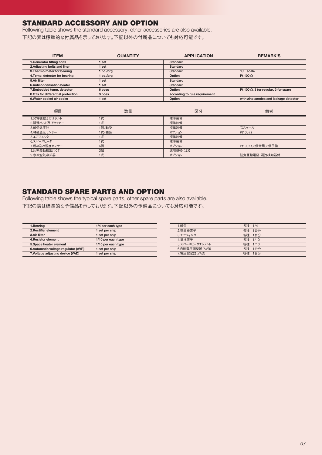# **STANDARD ACCESSORY AND OPTION**

Following table shows the standard accessory, other accessories are also available. 下記の表は標準的な付属品を示しております。下記以外の付属品についても対応可能です。

| <b>ITEM</b>                       | <b>QUANTITY</b> | <b>APPLICATION</b>            | <b>REMARK'S</b>                              |
|-----------------------------------|-----------------|-------------------------------|----------------------------------------------|
| 1. Generator fitting bolts        | l set           | <b>Standard</b>               |                                              |
| 2. Adjusting bolts and liner      | 1 set           | <b>Standard</b>               |                                              |
| 3. Thermo meter for bearing       | 1 pc./brg       | Standard                      | °C scale                                     |
| 4. Temp. detector for bearing     | 1 pc./brg       | Option                        | Pt 100 $\Omega$                              |
| 5.Air filter                      | I set           | <b>Standard</b>               |                                              |
| 6.Anticondensation heater         | 1 set           | Standard                      |                                              |
| 7.Embedded temp, detector         | 6 pces          | Option                        | Pt 100 $\Omega$ , 3 for regular, 3 for spare |
| 8.CTs for differential protection | 3 pces          | according to rule requirement |                                              |
| 9. Water cooled air cooler        | I set           | Option                        | with zinc anodes and leakage detector        |
|                                   |                 |                               |                                              |

| 項目            | 数量    | 区分      | 備考                |
|---------------|-------|---------|-------------------|
| 1.発電機据え付けボルト  | 1式    | 標準装備    |                   |
| 2.調整ボルト及びライナー | 1式    | 標準装備    |                   |
| 3.軸受温度計       | 1個/軸受 | 標準装備    | °Cスケール            |
| 4.軸受温度センサー    | 1式/軸受 | オプション   | Pt100 $\Omega$    |
| 5.エアフィルタ      | 1式    | 標準装備    |                   |
| 6.スペースヒータ     | 1式    | 標準装備    |                   |
| 7.埋め込み温度センサー  | 6個    | オプション   | Pt100 Ω、3個常用、3個予備 |
| 8.比率差動検出用CT   | 3個    | 適用規格による |                   |
| 9.水冷空気冷却器     | 1式    | オプション   | 防食亜鉛電極、漏洩検知器付     |

# **STANDARD SPARE PARTS AND OPTION**

Following table shows the typical spare parts, other spare parts are also available. 下記の表は標準的な予備品を示しております。下記以外の予備品についても対応可能です。

| 1.Bearing                           | 1/4 per each type  | 1.軸受         |
|-------------------------------------|--------------------|--------------|
| 2. Rectifier element                | 1 set per ship     | 2.整流器素子      |
| 3.Air filter                        | 1 set per ship     | 3.エアフィルタ     |
| 4. Resistor element                 | 1/10 per each type | 4.抵抗素子       |
| 5. Space heater element             | 1/10 per each type | 5.スペースヒータエレメ |
| 6.Automatic voltage regulator (AVR) | 1 set per ship     | 6.自動電圧調整器(A) |
| 7. Voltage adjusting device (VAD)   | 1 set per ship     | 7.電圧設定器(VAD) |
|                                     |                    |              |

| 1.軸受           | 各種 1/4 |         |
|----------------|--------|---------|
| 2.整流器素子        |        | 各種 1台分  |
| 3.エアフィルタ       |        | 各種 1台分  |
| 4. 抵抗素子        |        | 各種 1/10 |
| 5.スペースヒータエレメント |        | 各種 1/10 |
| 6.自動電圧調整器(AVR) |        | 各種 1台分  |
| 7. 電圧設定器(VAD)  |        | 各種 1台分  |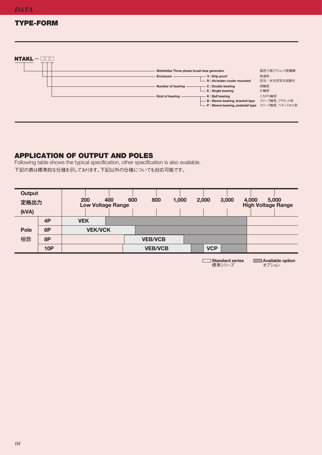$\mathbf{N} = \mathbf{N}$ 

# **TYPE-FORM**

| $NTAKL -$ |                                             |                                                                                                         |                         |
|-----------|---------------------------------------------|---------------------------------------------------------------------------------------------------------|-------------------------|
|           | Nishishiba Three phase brush less generator |                                                                                                         | 西芝三相ブラシレス発電機            |
|           | Enclosure                                   | V: Drip proof<br>R: Air/water cooler mounted                                                            | 防滴形<br>空冷/水冷空気冷却器付      |
|           | Number of bearing                           | C: Double bearing<br>E: Single bearing                                                                  | 両軸受<br>片軸受              |
|           | Kind of bearing                             | K: Ball bearing<br>B: Sleeve bearing, bracket type<br>- P: Sleeve bearing, pedestal type スリーブ軸受、ペディスタル形 | ころがり軸受<br>スリーブ軸受、ブラケット形 |
|           |                                             |                                                                                                         |                         |

# **APPLICATION OF OUTPUT AND POLES**

Following table shows the typical specification, other specification is also available. 下記の表は標準的な仕様を示しております。下記以外の仕様についても対応可能です。

| <b>Output</b><br>定格出力<br>(kVA) |            | 200        |                | 400<br><b>Low Voltage Range</b> | 600 | 800            | 1,000 | 2,000      | 3,000 | 4,000<br><b>High Voltage Range</b> | 5,000 |
|--------------------------------|------------|------------|----------------|---------------------------------|-----|----------------|-------|------------|-------|------------------------------------|-------|
|                                | 4P         | <b>VEK</b> |                |                                 |     |                |       |            |       |                                    |       |
| <b>Pole</b>                    | 6P         |            | <b>VEK/VCK</b> |                                 |     |                |       |            |       |                                    |       |
| 極数                             | 8P         |            |                |                                 |     | <b>VEB/VCB</b> |       |            |       |                                    |       |
|                                | <b>10P</b> |            |                |                                 |     | <b>VEB/VCB</b> |       | <b>VCP</b> |       |                                    |       |

**Standard series** 標準シリーズ

**Available option** オプション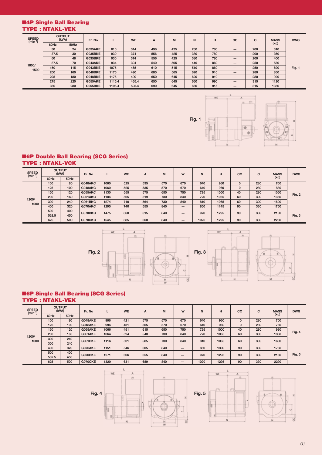#### ■**4P Single Ball Bearing TYPE : NTAKL-VEK**

| <b>SPEED</b><br>$(min^{-1}]$ | <b>OUTPUT</b><br>(kVA) |      | Fr. No         |        | <b>WE</b> | A   | M   | N   | н   | cc | C   | <b>MASS</b> | <b>DWG</b> |
|------------------------------|------------------------|------|----------------|--------|-----------|-----|-----|-----|-----|----|-----|-------------|------------|
|                              | 60Hz                   | 50Hz |                |        |           |     |     |     |     |    |     |             | (kg)       |
|                              | 30                     | 24   | <b>G035AKE</b> | 810    | 314       | 496 | 425 | 260 | 780 | -  | 200 | 310         |            |
|                              | 37.5                   | 30   | <b>G035BKE</b> | 930    | 374       | 556 | 425 | 380 | 780 | —  | 200 | 360         |            |
|                              | 60                     | 48   | <b>G035BKE</b> | 930    | 374       | 556 | 425 | 380 | 780 | -  | 200 | 400         |            |
| 1800/                        | 87.5                   | 70   | G043AKE        | 934    | 394       | 540 | 505 | 410 | 860 | -  | 250 | 530         |            |
| 1500                         | 150                    | 115  | G043BKE        | 1075   | 465       | 610 | 515 | 510 | 860 | -  | 250 | 690         | Fig. 1     |
|                              | 200                    | 160  | G048BKE        | 1175   | 490       | 685 | 565 | 620 | 910 | —  | 280 | 850         |            |
|                              | 225                    | 180  | G048BKE        | 1175   | 490       | 650 | 645 | 620 | 910 | Ī  | 280 | 920         |            |
|                              | 275                    | 220  | <b>G055AKE</b> | 1115.4 | 465.4     | 650 | 645 | 660 | 990 | —  | 315 | 1120        |            |
|                              | 350                    | 280  | <b>G055BKE</b> | 1195.4 | 505.4     | 690 | 645 | 660 | 915 |    | 315 | 1350        |            |



 $\mathbf{L}$ 

 $\overline{A}$ 市  $\overline{a}$ 

WE



#### ■**6P Double Ball Bearing (SCG Series) TYPE : NTAKL-VCK**

| <b>OUTPUT</b><br>(kVA) |      | Fr. No         |         |      | <b>WE</b> | A   | M                        | W    | N    | н           | cc  | C    | <b>MASS</b>  | <b>DWG</b> |
|------------------------|------|----------------|---------|------|-----------|-----|--------------------------|------|------|-------------|-----|------|--------------|------------|
| 60Hz                   | 50Hz |                |         |      |           |     |                          |      |      |             |     |      |              |            |
| 100                    | 80   | G048AKC        | 1060    | 525  | 535       | 570 | 670                      | 640  | 960  | $\mathbf 0$ | 280 | 700  |              |            |
| 125                    | 100  | G048AKC        | 1060    | 525  | 535       | 570 | 670                      | 640  | 960  | $\mathbf 0$ | 280 | 880  |              |            |
| 150                    | 120  | G055AKC        | 1130    | 555  | 575       | 650 | 750                      | 725  | 1000 | 40          | 280 | 1050 | Fig. 2       |            |
| 200                    | 160  | <b>G061AKC</b> | 1184    | 565  | 519       | 730 | 840                      | 720  | 1065 | 60          | 300 | 1350 |              |            |
| 300                    | 240  | <b>G061BKC</b> | 1274    | 710  | 564       | 730 | 840                      | 810  | 1065 | 60          | 300 | 1600 |              |            |
| 400                    | 320  | G070AKC        | 1295    | 740  | 555       | 840 | $\overline{\phantom{0}}$ | 850  | 1145 | 90          | 330 | 1750 |              |            |
| 500                    | 400  |                |         |      |           |     |                          |      |      |             |     |      |              |            |
| 562.5                  | 450  |                |         |      |           |     |                          |      |      |             |     |      | Fig. 3       |            |
| 625                    | 500  | <b>G070CKC</b> | 1545    | 885  | 660       | 840 |                          | 1020 | 1295 | 90          | 330 | 2230 |              |            |
|                        |      |                | G070BKC | 1475 | 860       | 615 | 840                      |      | 970  | 1295        | 90  | 330  | (kg)<br>2100 |            |







#### ■**6P Single Ball Bearing (SCG Series) TYPE : NTAKL-VEK**

| <b>SPEED</b><br>$(min^{-1})$ | <b>OUTPUT</b><br>(kVA) |      | Fr. No         |      |     |                |      |     | L    | <b>WE</b> | A            | M   | W    | N      | H    | cc   | C | <b>MASS</b> | <b>DWG</b> |
|------------------------------|------------------------|------|----------------|------|-----|----------------|------|-----|------|-----------|--------------|-----|------|--------|------|------|---|-------------|------------|
|                              | 60Hz                   | 50Hz |                |      |     |                |      |     |      |           |              |     |      |        | (kg) |      |   |             |            |
|                              | 100                    | 80   | G048AKE        | 996  | 421 | 575            | 570  | 670 | 640  | 960       | $\mathbf{0}$ | 280 | 700  |        |      |      |   |             |            |
|                              | 125                    | 100  | G048AKE        | 996  | 431 | 565            | 570  | 670 | 640  | 960       | $\mathbf{0}$ | 280 | 750  |        |      |      |   |             |            |
| 1200/                        | 150                    | 120  | G055AKE        | 1066 | 451 | 615            | 650  | 750 | 725  | 1000      | 40           | 280 | 980  | Fig. 4 |      |      |   |             |            |
|                              | 200                    | 160  | <b>G061AKE</b> | 1064 | 524 | 540            | 730  | 840 | 720  | 1065      | 60           | 300 | 1350 |        |      |      |   |             |            |
| 1000                         | 300                    | 240  |                |      |     | <b>G061BKE</b> | 1116 | 531 | 585  | 730       | 840          | 810 | 1065 | 60     | 300  | 1600 |   |             |            |
|                              | 300                    | 240  |                |      |     |                |      |     |      |           |              |     |      |        |      |      |   |             |            |
|                              | 400                    | 320  | G070AKE        | 1151 | 546 | 605            | 840  | —   | 850  | 1300      | 90           | 330 | 1750 |        |      |      |   |             |            |
|                              | 500                    | 400  | G070BKE        | 1271 | 606 | 655            | 840  |     | 970  | 1295      | 90           | 330 | 2160 | Fig. 5 |      |      |   |             |            |
|                              | 562.5                  | 450  |                |      |     |                |      | –   |      |           |              |     |      |        |      |      |   |             |            |
|                              | 625                    | 500  | <b>G070CKE</b> | 1320 | 631 | 689            | 840  | –   | 1020 | 1295      | 90           | 330 | 2290 |        |      |      |   |             |            |





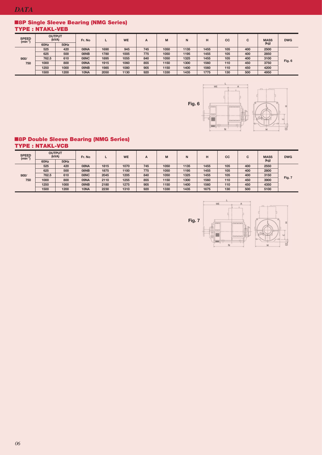#### ■**8P Single Sleeve Bearing (NMG Series) TYPE : NTAKL-VEB**

| <b>SPEED</b><br>$(min^{-1})$ | <b>OUTPUT</b><br>(kVA) |      | Fr. No |      | <b>WE</b> | A   | M    | N    |      | СC  | C   | <b>MASS</b><br>(kg) | <b>DWG</b> |
|------------------------------|------------------------|------|--------|------|-----------|-----|------|------|------|-----|-----|---------------------|------------|
|                              | 60Hz                   | 50Hz |        |      |           |     |      |      |      |     |     |                     |            |
|                              | 525                    | 420  | 08NA   | 1690 | 945       | 745 | 1050 | 1135 | 1455 | 105 | 400 | 2500                |            |
|                              | 625                    | 500  | 08NB   | 1780 | 1005      | 775 | 1050 | 1195 | 1455 | 105 | 400 | 2850                |            |
| 900/                         | 762.5                  | 610  | 08NC   | 1895 | 1055      | 840 | 1050 | 1325 | 1455 | 105 | 400 | 3100                |            |
| 750                          | 1000                   | 800  | 09NA   | 1915 | 1060      | 855 | 1150 | 1300 | 1560 | 110 | 450 | 3750                | Fig. 6     |
|                              | 1250                   | 1000 | 09NB   | 1985 | 1080      | 905 | 1150 | 1400 | 1560 | 110 | 450 | 4200                |            |
|                              | 1500                   | 1200 | 10NA   | 2050 | 1130      | 920 | 1330 | 1435 | 1775 | 130 | 500 | 4950                |            |



#### ■**8P Double Sleeve Bearing (NMG Series) TYPE : NTAKL-VCB**

| <b>SPEED</b><br>$(min^{-1}$ | <b>OUTPUT</b><br>(kVA) |      | Fr. No |      | <b>WE</b> | A   | M    | N    |      | CC  | С   | <b>MASS</b> | <b>DWG</b> |
|-----------------------------|------------------------|------|--------|------|-----------|-----|------|------|------|-----|-----|-------------|------------|
|                             | 60Hz                   | 50Hz |        |      |           |     |      |      |      |     |     | (kg)        |            |
|                             | 525                    | 420  | AN80   | 1815 | 1070      | 745 | 1050 | 1135 | 1455 | 105 | 400 | 2550        |            |
|                             | 625                    | 500  | 08NB   | 1875 | 1100      | 775 | 1050 | 1195 | 1455 | 105 | 400 | 2800        |            |
| 900/                        | 762.5                  | 610  | 08NC   | 2045 | 1205      | 840 | 1050 | 1325 | 1455 | 105 | 400 | 3150        |            |
| 750                         | 1000                   | 800  | 09NA   | 2110 | 1255      | 855 | 1150 | 1300 | 1560 | 110 | 450 | 3900        | Fig. 7     |
|                             | 1250                   | 1000 | 09NB   | 2180 | 1275      | 905 | 1150 | 1400 | 1560 | 110 | 450 | 4350        |            |
|                             | 1500                   | 1200 | 10NA   | 2230 | 1310      | 920 | 1330 | 1435 | 1675 | 130 | 500 | 5100        |            |

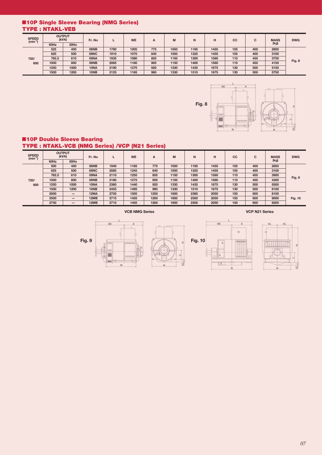### ■**10P Single Sleeve Bearing (NMG Series) TYPE : NTAKL-VEB**

| <b>SPEED</b><br>$(min^{-1})$ | <b>OUTPUT</b><br>(kVA) |      | Fr. No |      | <b>WE</b> | A   | M    | N    | н    | <b>CC</b> | С   | <b>MASS</b> | <b>DWG</b> |
|------------------------------|------------------------|------|--------|------|-----------|-----|------|------|------|-----------|-----|-------------|------------|
|                              | 60Hz                   | 50Hz |        |      |           |     |      |      |      |           |     | (kg)        |            |
|                              | 525                    | 400  | 08NB   | 1780 | 1005      | 775 | 1050 | 1195 | 1455 | 105       | 400 | 2800        |            |
|                              | 625                    | 500  | 08NC   | 1910 | 1070      | 840 | 1050 | 1325 | 1455 | 105       | 400 | 3100        |            |
| 720/                         | 762.5                  | 610  | 09NA   | 1935 | 1080      | 855 | 1150 | 1300 | 1560 | 110       | 450 | 3750        |            |
| 600                          | 1000                   | 800  | 09NB   | 2065 | 1160      | 905 | 1150 | 1400 | 1560 | 110       | 450 | 4150        | Fig. 8     |
|                              | 1250                   | 1000 | 10NA   | 2190 | 1270      | 920 | 1330 | 1435 | 1675 | 130       | 500 | 5150        |            |
|                              | 1500                   | 1200 | 10NB   | 2125 | 1165      | 960 | 1330 | 1510 | 1675 | 130       | 500 | 5750        |            |



#### ■**10P Double Sleeve Bearing TYPE : NTAKL-VCB (NMG Series) /VCP (N21 Series)**

| <b>SPEED</b><br>$(min^-$ | <b>OUTPUT</b><br>(kVA) |                          | Fr. No      | L    | <b>WE</b> | A    | M    | N    | н    | cc  | $\mathbf{C}$ | <b>MASS</b> | <b>DWG</b>     |
|--------------------------|------------------------|--------------------------|-------------|------|-----------|------|------|------|------|-----|--------------|-------------|----------------|
|                          | 60Hz                   | 50Hz                     |             |      |           |      |      |      |      |     |              | (kg)        |                |
| 720/                     | 500                    | 400                      | 08NB        | 1940 | 1165      | 775  | 1050 | 1195 | 1455 | 105 | 400          | 2850        | Fig. 9         |
|                          | 625                    | 500                      | 08NC        | 2085 | 1245      | 840  | 1050 | 1325 | 1455 | 105 | 400          | 3100        |                |
|                          | 762.5                  | 610                      | 09NA        | 2110 | 1255      | 855  | 1150 | 1300 | 1560 | 110 | 450          | 3900        |                |
|                          | 1000                   | 800                      | 09NB        | 2180 | 1275      | 905  | 1150 | 1400 | 1560 | 110 | 450          | 4300        |                |
| 600                      | 1250                   | 1000                     | 10NA        | 2360 | 1440      | 920  | 1330 | 1435 | 1675 | 130 | 500          | 5500        |                |
|                          | 1500                   | 1200                     | 10NB        | 2455 | 1495      | 960  | 1330 | 1510 | 1675 | 130 | 500          | 6100        |                |
|                          | 2000                   |                          | <b>12MA</b> | 2705 | 1505      | 1200 | 1600 | 2380 | 2050 | 150 | 600          | 8100        |                |
|                          | 2500                   |                          | 12MB        | 2715 | 1455      | 1260 | 1600 | 2500 | 2050 | 150 | 600          | 9000        | <b>Fig. 10</b> |
|                          | 2750                   | $\overline{\phantom{m}}$ | 12MB        | 2715 | 1455      | 1260 | 1600 | 2500 | 2050 | 150 | 600          | 9200        |                |

**VCB NMG Series** VCP N21 Series